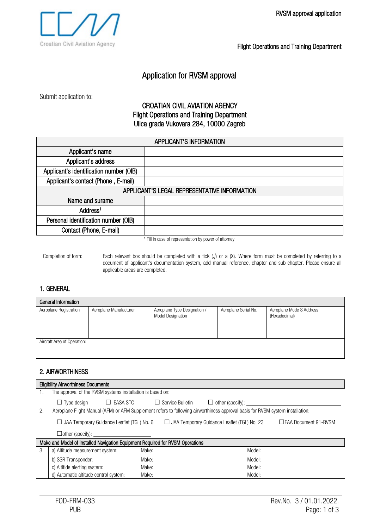Flight Operations and Training Department

# Application for RVSM approval

Submit application to:

# CROATIAN CIVIL AVIATION AGENCY Flight Operations and Training Department Ulica grada Vukovara 284, 10000 Zagreb

| <b>APPLICANT'S INFORMATION</b>               |                                                                |  |  |
|----------------------------------------------|----------------------------------------------------------------|--|--|
| Applicant's name                             |                                                                |  |  |
| Applicant's address                          |                                                                |  |  |
| Applicant's identification number (OIB)      |                                                                |  |  |
| Applicant's contact (Phone, E-mail)          |                                                                |  |  |
| APPLICANT'S LEGAL REPRESENTATIVE INFORMATION |                                                                |  |  |
| Name and surame                              |                                                                |  |  |
| Address <sup>1</sup>                         |                                                                |  |  |
| Personal identification number (OIB)         |                                                                |  |  |
| Contact (Phone, E-mail)                      |                                                                |  |  |
|                                              | THE RESIDENCE OF A CONTRACTOR CONTRACTOR CONTRACTOR CONTRACTOR |  |  |

<sup>1</sup> Fill in case of representation by power of attorney.

Completion of form: Each relevant box should be completed with a tick (√) or a (X). Where form must be completed by referring to a document of applicant's documentation system, add manual reference, chapter and sub-chapter. Please ensure all applicable areas are completed.

## 1. GENERAL

| General Information         |                        |                                                          |                      |                                           |  |  |
|-----------------------------|------------------------|----------------------------------------------------------|----------------------|-------------------------------------------|--|--|
| Aeroplane Registration      | Aeroplane Manufacturer | Aeroplane Type Designation /<br><b>Model Designation</b> | Aeroplane Serial No. | Aeroplane Mode S Address<br>(Hexadecimal) |  |  |
| Aircraft Area of Operation: |                        |                                                          |                      |                                           |  |  |

## 2. AIRWORTHINESS

|    | <b>Eligibility Airworthiness Documents</b>                                                                                     |         |                  |                                     |  |  |
|----|--------------------------------------------------------------------------------------------------------------------------------|---------|------------------|-------------------------------------|--|--|
|    | The approval of the RVSM systems installation is based on:                                                                     |         |                  |                                     |  |  |
|    | EASA STC<br>$\Box$ Type design<br>$\perp$                                                                                      | $\perp$ | Service Bulletin | other (specify): ________<br>$\Box$ |  |  |
| 2. | Aeroplane Flight Manual (AFM) or AFM Supplement refers to following airworthiness approval basis for RVSM system installation: |         |                  |                                     |  |  |
|    | $\Box$ JAA Temporary Guidance Leaflet (TGL) No. 6<br>□ JAA Temporary Guidance Leaflet (TGL) No. 23<br>□FAA Document 91-RVSM    |         |                  |                                     |  |  |
|    | $\Box$ other (specify): $\Box$                                                                                                 |         |                  |                                     |  |  |
|    | Make and Model of Installed Navigation Equipment Required for RVSM Operations                                                  |         |                  |                                     |  |  |
| 3  | a) Altitude measurement system:                                                                                                | Make:   |                  | Model:                              |  |  |
|    | b) SSR Transponder:                                                                                                            | Make:   |                  | Model:                              |  |  |
|    | c) Altitide alerting system:                                                                                                   | Make:   |                  | Model:                              |  |  |
|    | d) Automatic altitude control system:                                                                                          | Make:   |                  | Model:                              |  |  |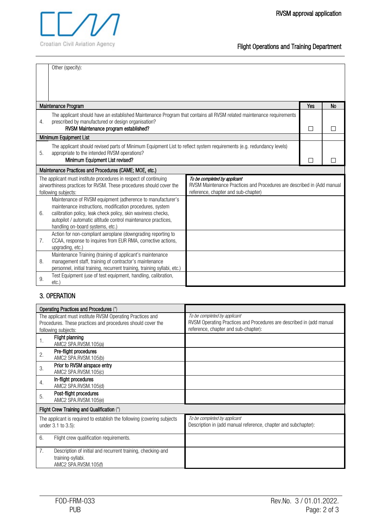Flight Operations and Training Department

|                  | Other (specify):                                                                                                                                                                                                                                                                             |                                                                                                                                               |     |    |
|------------------|----------------------------------------------------------------------------------------------------------------------------------------------------------------------------------------------------------------------------------------------------------------------------------------------|-----------------------------------------------------------------------------------------------------------------------------------------------|-----|----|
|                  |                                                                                                                                                                                                                                                                                              |                                                                                                                                               |     |    |
|                  | Maintenance Program                                                                                                                                                                                                                                                                          |                                                                                                                                               | Yes | No |
| $\overline{4}$ . | The applicant should have an established Maintenance Program that contains all RVSM related maintenance requirements<br>prescribed by manufactured or design organisation?<br>RVSM Maintenance program established?                                                                          |                                                                                                                                               | П   |    |
|                  | Minimum Equipment List                                                                                                                                                                                                                                                                       |                                                                                                                                               |     |    |
| 5.               | The applicant should revised parts of Minimum Equipment List to reflect system requirements (e.g. redundancy levels)<br>appropriate to the intended RVSM operations?<br>Minimum Equipment List revised?                                                                                      |                                                                                                                                               |     |    |
|                  | Maintenance Practices and Procedures (CAME; MOE, etc.)                                                                                                                                                                                                                                       |                                                                                                                                               |     |    |
|                  | The applicant must institute procedures in respect of continuing<br>airworthiness practices for RVSM. These procedures should cover the<br>following subjects:                                                                                                                               | To be completed by applicant<br>RVSM Maintenance Practices and Procedures are described in (Add manual<br>reference, chapter and sub-chapter) |     |    |
| 6.               | Maintenance of RVSM equipment (adherence to manufacturer's<br>maintenance instructions, modification procedures, system<br>calibration policy, leak check policy, skin waviness checks,<br>autopilot / automatic altitude control maintenance practices,<br>handling on-board systems, etc.) |                                                                                                                                               |     |    |
| 7.               | Action for non-compliant aeroplane (downgrading reporting to<br>CCAA, response to inquires from EUR RMA, corrective actions,<br>upgrading, etc.)                                                                                                                                             |                                                                                                                                               |     |    |
| 8.               | Maintenance Training (training of applicant's maintenance<br>management staff, training of contractor's maintenance<br>personnel, initial training, recurrent training, training syllabi, etc.)                                                                                              |                                                                                                                                               |     |    |
| 9.               | Test Equipment (use of test equipment, handling, calibration,<br>etc.                                                                                                                                                                                                                        |                                                                                                                                               |     |    |
|                  |                                                                                                                                                                                                                                                                                              |                                                                                                                                               |     |    |

# 3. OPERATION

| Operating Practices and Procedures (*)                                                                                   |                                                                                                      |
|--------------------------------------------------------------------------------------------------------------------------|------------------------------------------------------------------------------------------------------|
| The applicant must institute RVSM Operating Practices and<br>Procedures. These practices and procedures should cover the | To be completed by applicant<br>RVSM Operating Practices and Procedures are described in (add manual |
| following subjects:                                                                                                      | reference, chapter and sub-chapter):                                                                 |
| Flight planning<br>1.<br>AMC2 SPA.RVSM.105(a)                                                                            |                                                                                                      |
| Pre-flight procedures<br>2.<br>AMC2 SPA.RVSM.105(b)                                                                      |                                                                                                      |
| Prior to RVSM airspace entry<br>3.<br>AMC2 SPA.RVSM.105(c)                                                               |                                                                                                      |
| In-flight procedures<br>4.<br>AMC2 SPA.RVSM.105(d)                                                                       |                                                                                                      |
| Post-flight procedures<br>5.<br>AMC2 SPA.RVSM.105(e)                                                                     |                                                                                                      |
| Flight Crew Training and Qualification (*)                                                                               |                                                                                                      |
| The applicant is required to establish the following (covering subjects<br>under 3.1 to 3.5):                            | To be completed by applicant<br>Description in (add manual reference, chapter and subchapter):       |
| 6.<br>Flight crew qualification requirements.                                                                            |                                                                                                      |
| 7.<br>Description of initial and recurrent training, checking-and<br>training-syllabi.<br>AMC2 SPA.RVSM.105(f)           |                                                                                                      |